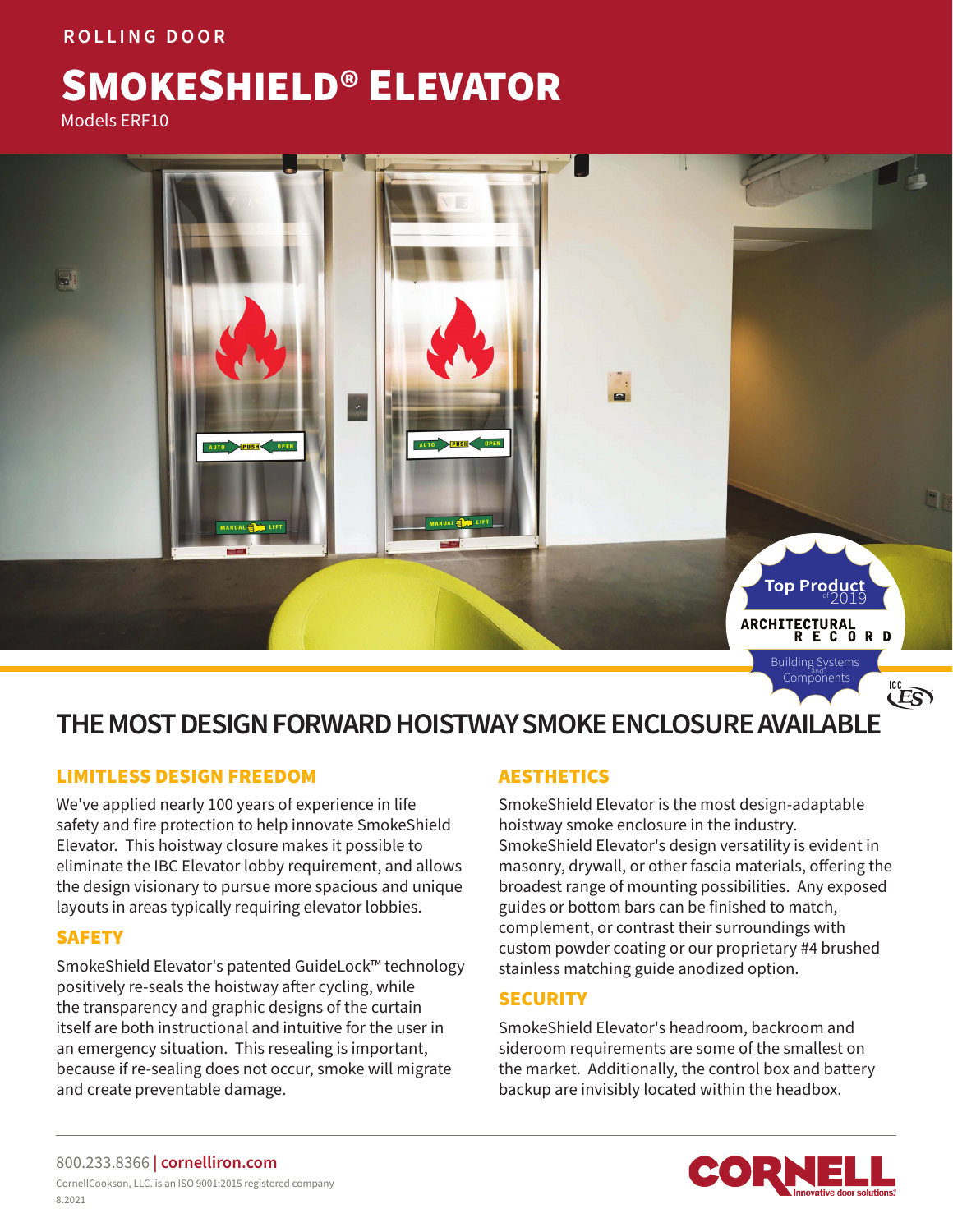## **ROLLING DOOR**

# SMOKESHIELD® ELEVATOR

Models ERF10



## **THE MOST DESIGN FORWARD HOISTWAY SMOKE ENCLOSURE AVAILABLE**

## LIMITLESS DESIGN FREEDOM

We've applied nearly 100 years of experience in life safety and fire protection to help innovate SmokeShield Elevator. This hoistway closure makes it possible to eliminate the IBC Elevator lobby requirement, and allows the design visionary to pursue more spacious and unique layouts in areas typically requiring elevator lobbies.

## SAFETY

SmokeShield Elevator's patented GuideLock™ technology positively re-seals the hoistway after cycling, while the transparency and graphic designs of the curtain itself are both instructional and intuitive for the user in an emergency situation. This resealing is important, because if re-sealing does not occur, smoke will migrate and create preventable damage.

## AESTHETICS

SmokeShield Elevator is the most design-adaptable hoistway smoke enclosure in the industry. SmokeShield Elevator's design versatility is evident in masonry, drywall, or other fascia materials, offering the broadest range of mounting possibilities. Any exposed guides or bottom bars can be finished to match, complement, or contrast their surroundings with custom powder coating or our proprietary #4 brushed stainless matching guide anodized option.

## **SECURITY**

SmokeShield Elevator's headroom, backroom and sideroom requirements are some of the smallest on the market. Additionally, the control box and battery backup are invisibly located within the headbox.